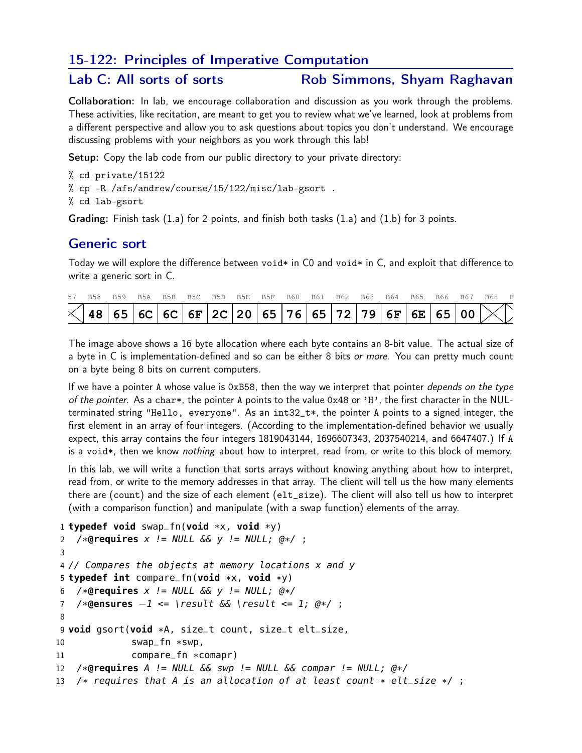# 15-122: Principles of Imperative Computation

### Lab C: All sorts of sorts **Rob Simmons**, Shyam Raghavan

Collaboration: In lab, we encourage collaboration and discussion as you work through the problems. These activities, like recitation, are meant to get you to review what we've learned, look at problems from a different perspective and allow you to ask questions about topics you don't understand. We encourage discussing problems with your neighbors as you work through this lab!

Setup: Copy the lab code from our public directory to your private directory:

- % cd private/15122
- % cp -R /afs/andrew/course/15/122/misc/lab-gsort .
- % cd lab-gsort

Grading: Finish task (1.a) for 2 points, and finish both tasks (1.a) and (1.b) for 3 points.

## Generic sort

Today we will explore the difference between void $*$  in C0 and void $*$  in C, and exploit that difference to write a generic sort in C.

| 57 B58 B59 B5A B5B B5C B5D B5E B5F B60 B61 B62 B63 B64 B65 B66 B67 B68 B    |  |  |  |  |  |  |  |  |  |
|-----------------------------------------------------------------------------|--|--|--|--|--|--|--|--|--|
| $\mathcal{L}$ 48 65 6C 6C 6F 2C 20 65 76 65 72 79 6F 6E 65 00 $\mathcal{L}$ |  |  |  |  |  |  |  |  |  |

The image above shows a 16 byte allocation where each byte contains an 8-bit value. The actual size of a byte in C is implementation-defined and so can be either 8 bits or more. You can pretty much count on a byte being 8 bits on current computers.

If we have a pointer A whose value is 0xB58, then the way we interpret that pointer depends on the type of the pointer. As a char\*, the pointer A points to the value 0x48 or 'H', the first character in the NULterminated string "Hello, everyone". As an int32\_t\*, the pointer A points to a signed integer, the first element in an array of four integers. (According to the implementation-defined behavior we usually expect, this array contains the four integers 1819043144, 1696607343, 2037540214, and 6647407.) If A is a void\*, then we know *nothing* about how to interpret, read from, or write to this block of memory.

In this lab, we will write a function that sorts arrays without knowing anything about how to interpret, read from, or write to the memory addresses in that array. The client will tell us the how many elements there are (count) and the size of each element (elt\_size). The client will also tell us how to interpret (with a comparison function) and manipulate (with a swap function) elements of the array.

```
1 typedef void swap_fn(void *x, void *y)
2 /*@requires x != NULL && y != NULL; @*/ ;
3
4 // Compares the objects at memory locations x and y
5 typedef int compare_fn(void *x, void *y)
6 /*@requires x != NULL && y != NULL; @*/
7 /*@ensures −1 <= \result && \result <= 1; @*/ ;
8
9 void gsort(void *A, size_t count, size_t elt_size,
10 swap_fn *swp,
11 compare_fn *comapr)
12 /*@requires A != NULL && swp != NULL && compar != NULL; @*/
13 /* requires that A is an allocation of at least count * elt_size */;
```